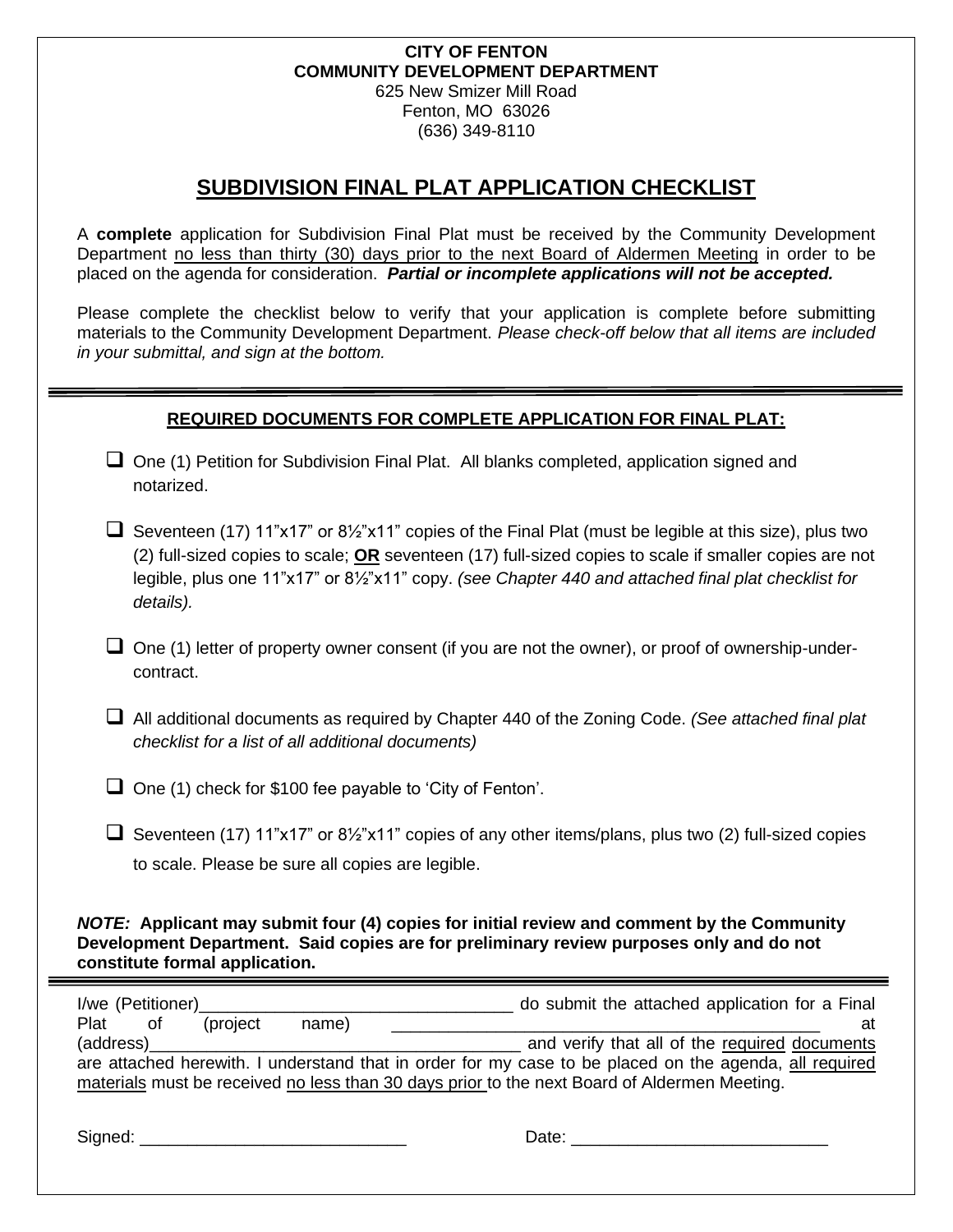#### **CITY OF FENTON COMMUNITY DEVELOPMENT DEPARTMENT** 625 New Smizer Mill Road Fenton, MO 63026 (636) 349-8110

## **SUBDIVISION FINAL PLAT APPLICATION CHECKLIST**

A **complete** application for Subdivision Final Plat must be received by the Community Development Department no less than thirty (30) days prior to the next Board of Aldermen Meeting in order to be placed on the agenda for consideration. *Partial or incomplete applications will not be accepted.* 

Please complete the checklist below to verify that your application is complete before submitting materials to the Community Development Department. *Please check-off below that all items are included in your submittal, and sign at the bottom.*

## **REQUIRED DOCUMENTS FOR COMPLETE APPLICATION FOR FINAL PLAT:**

- □ One (1) Petition for Subdivision Final Plat. All blanks completed, application signed and notarized.
- $□$  Seventeen (17) 11"x17" or 8½"x11" copies of the Final Plat (must be legible at this size), plus two (2) full-sized copies to scale; **OR** seventeen (17) full-sized copies to scale if smaller copies are not legible, plus one 11"x17" or 8½"x11" copy. *(see Chapter 440 and attached final plat checklist for details).*
- $\Box$  One (1) letter of property owner consent (if you are not the owner), or proof of ownership-undercontract.
- ❑ All additional documents as required by Chapter 440 of the Zoning Code. *(See attached final plat checklist for a list of all additional documents)*
- ❑ One (1) check for \$100 fee payable to 'City of Fenton'.
- $□$  Seventeen (17) 11"x17" or 8½"x11" copies of any other items/plans, plus two (2) full-sized copies to scale. Please be sure all copies are legible.

## *NOTE:* **Applicant may submit four (4) copies for initial review and comment by the Community Development Department. Said copies are for preliminary review purposes only and do not constitute formal application.**

| I/we (Petitioner)                                                                                      |       | do submit the attached application for a Final |  |  |  |
|--------------------------------------------------------------------------------------------------------|-------|------------------------------------------------|--|--|--|
| (project)<br>Plat of                                                                                   | name) | at                                             |  |  |  |
| (address)                                                                                              |       | and verify that all of the required documents  |  |  |  |
| are attached herewith. I understand that in order for my case to be placed on the agenda, all required |       |                                                |  |  |  |
| materials must be received no less than 30 days prior to the next Board of Aldermen Meeting.           |       |                                                |  |  |  |
|                                                                                                        |       |                                                |  |  |  |

| Signed: |  |  |  |
|---------|--|--|--|
|         |  |  |  |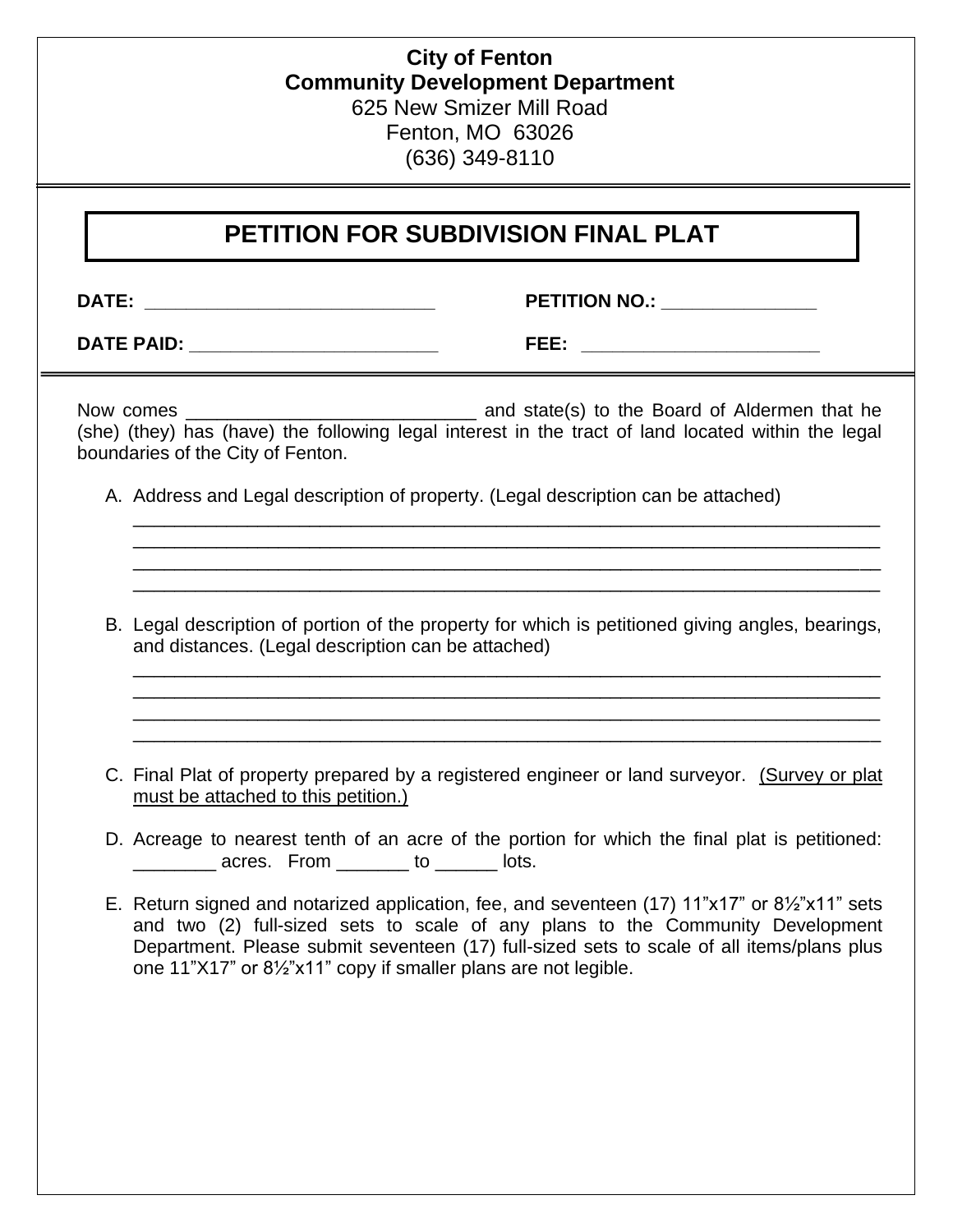## **City of Fenton Community Development Department** 625 New Smizer Mill Road Fenton, MO 63026 (636) 349-8110

# **PETITION FOR SUBDIVISION FINAL PLAT**

**DATE: \_\_\_\_\_\_\_\_\_\_\_\_\_\_\_\_\_\_\_\_\_\_\_\_\_\_\_\_ PETITION NO.: \_\_\_\_\_\_\_\_\_\_\_\_\_\_\_**

**DATE PAID: \_\_\_\_\_\_\_\_\_\_\_\_\_\_\_\_\_\_\_\_\_\_\_\_ FEE: \_\_\_\_\_\_\_\_\_\_\_\_\_\_\_\_\_\_\_\_\_\_\_**

Now comes \_\_\_\_\_\_\_\_\_\_\_\_\_\_\_\_\_\_\_\_\_\_\_\_\_\_\_\_ and state(s) to the Board of Aldermen that he (she) (they) has (have) the following legal interest in the tract of land located within the legal boundaries of the City of Fenton.

- A. Address and Legal description of property. (Legal description can be attached)
- B. Legal description of portion of the property for which is petitioned giving angles, bearings, and distances. (Legal description can be attached)

\_\_\_\_\_\_\_\_\_\_\_\_\_\_\_\_\_\_\_\_\_\_\_\_\_\_\_\_\_\_\_\_\_\_\_\_\_\_\_\_\_\_\_\_\_\_\_\_\_\_\_\_\_\_\_\_\_\_\_\_\_\_\_\_\_\_\_\_\_\_\_\_ \_\_\_\_\_\_\_\_\_\_\_\_\_\_\_\_\_\_\_\_\_\_\_\_\_\_\_\_\_\_\_\_\_\_\_\_\_\_\_\_\_\_\_\_\_\_\_\_\_\_\_\_\_\_\_\_\_\_\_\_\_\_\_\_\_\_\_\_\_\_\_\_ \_\_\_\_\_\_\_\_\_\_\_\_\_\_\_\_\_\_\_\_\_\_\_\_\_\_\_\_\_\_\_\_\_\_\_\_\_\_\_\_\_\_\_\_\_\_\_\_\_\_\_\_\_\_\_\_\_\_\_\_\_\_\_\_\_\_\_\_\_\_\_\_ \_\_\_\_\_\_\_\_\_\_\_\_\_\_\_\_\_\_\_\_\_\_\_\_\_\_\_\_\_\_\_\_\_\_\_\_\_\_\_\_\_\_\_\_\_\_\_\_\_\_\_\_\_\_\_\_\_\_\_\_\_\_\_\_\_\_\_\_\_\_\_\_

\_\_\_\_\_\_\_\_\_\_\_\_\_\_\_\_\_\_\_\_\_\_\_\_\_\_\_\_\_\_\_\_\_\_\_\_\_\_\_\_\_\_\_\_\_\_\_\_\_\_\_\_\_\_\_\_\_\_\_\_\_\_\_\_\_\_\_\_\_\_\_\_ \_\_\_\_\_\_\_\_\_\_\_\_\_\_\_\_\_\_\_\_\_\_\_\_\_\_\_\_\_\_\_\_\_\_\_\_\_\_\_\_\_\_\_\_\_\_\_\_\_\_\_\_\_\_\_\_\_\_\_\_\_\_\_\_\_\_\_\_\_\_\_\_ \_\_\_\_\_\_\_\_\_\_\_\_\_\_\_\_\_\_\_\_\_\_\_\_\_\_\_\_\_\_\_\_\_\_\_\_\_\_\_\_\_\_\_\_\_\_\_\_\_\_\_\_\_\_\_\_\_\_\_\_\_\_\_\_\_\_\_\_\_\_\_\_ \_\_\_\_\_\_\_\_\_\_\_\_\_\_\_\_\_\_\_\_\_\_\_\_\_\_\_\_\_\_\_\_\_\_\_\_\_\_\_\_\_\_\_\_\_\_\_\_\_\_\_\_\_\_\_\_\_\_\_\_\_\_\_\_\_\_\_\_\_\_\_\_

- C. Final Plat of property prepared by a registered engineer or land surveyor. (Survey or plat must be attached to this petition.)
- D. Acreage to nearest tenth of an acre of the portion for which the final plat is petitioned: ences. From to lots.
- E. Return signed and notarized application, fee, and seventeen (17) 11"x17" or 8½"x11" sets and two (2) full-sized sets to scale of any plans to the Community Development Department. Please submit seventeen (17) full-sized sets to scale of all items/plans plus one 11"X17" or 8½"x11" copy if smaller plans are not legible.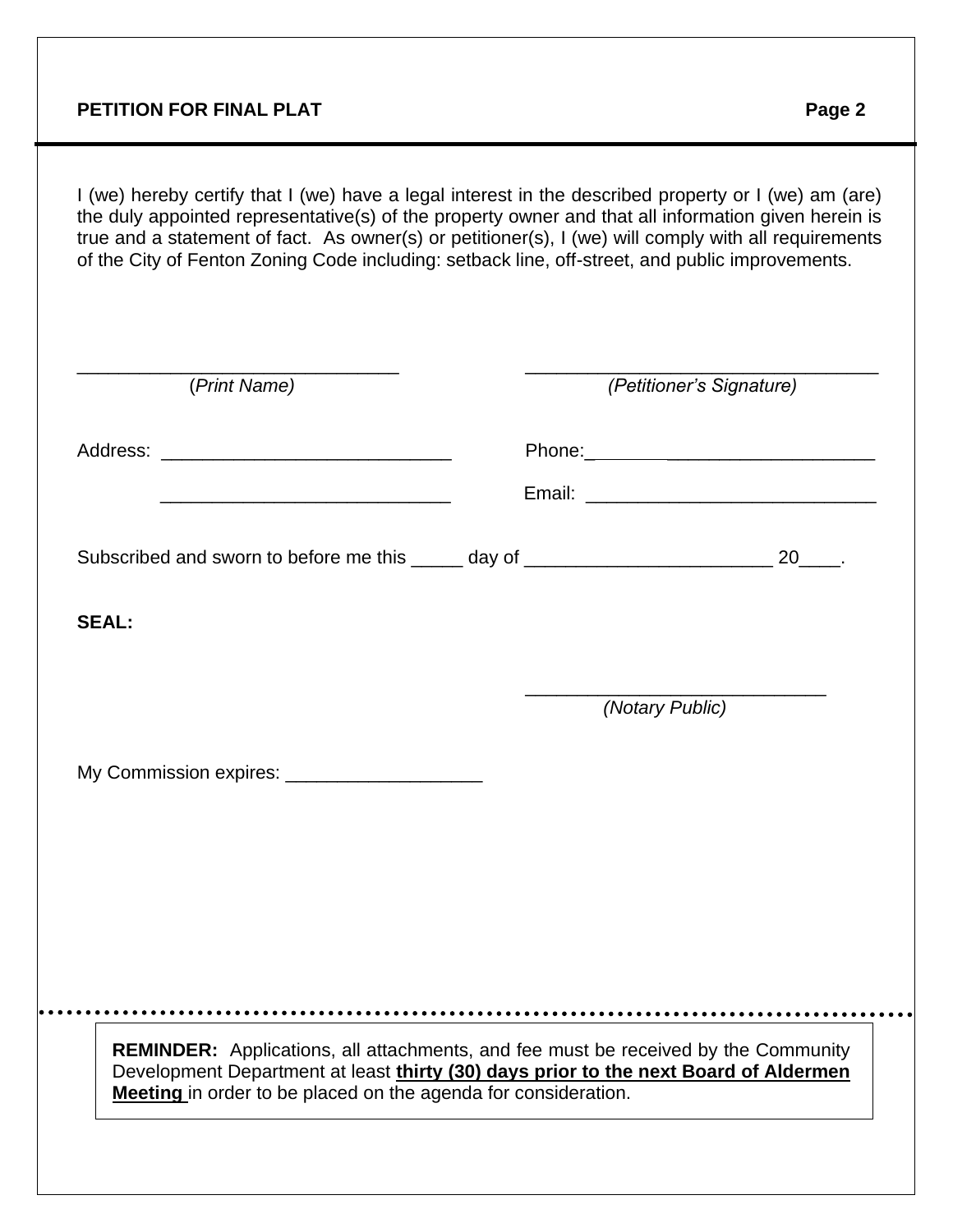## **PETITION FOR FINAL PLAT PETITION FOR FINAL PLAT**

 $\ddot{\phantom{0}}$ 

I (we) hereby certify that I (we) have a legal interest in the described property or I (we) am (are) the duly appointed representative(s) of the property owner and that all information given herein is true and a statement of fact. As owner(s) or petitioner(s), I (we) will comply with all requirements of the City of Fenton Zoning Code including: setback line, off-street, and public improvements.

| Subscribed and sworn to before me this _____ day of _____________________________ 20____. |
|-------------------------------------------------------------------------------------------|
|                                                                                           |
|                                                                                           |
|                                                                                           |
|                                                                                           |
| (Notary Public)                                                                           |
|                                                                                           |
|                                                                                           |
|                                                                                           |
|                                                                                           |
|                                                                                           |
| <b>REMINDER:</b> Applications, all attachments, and fee must be received by the Community |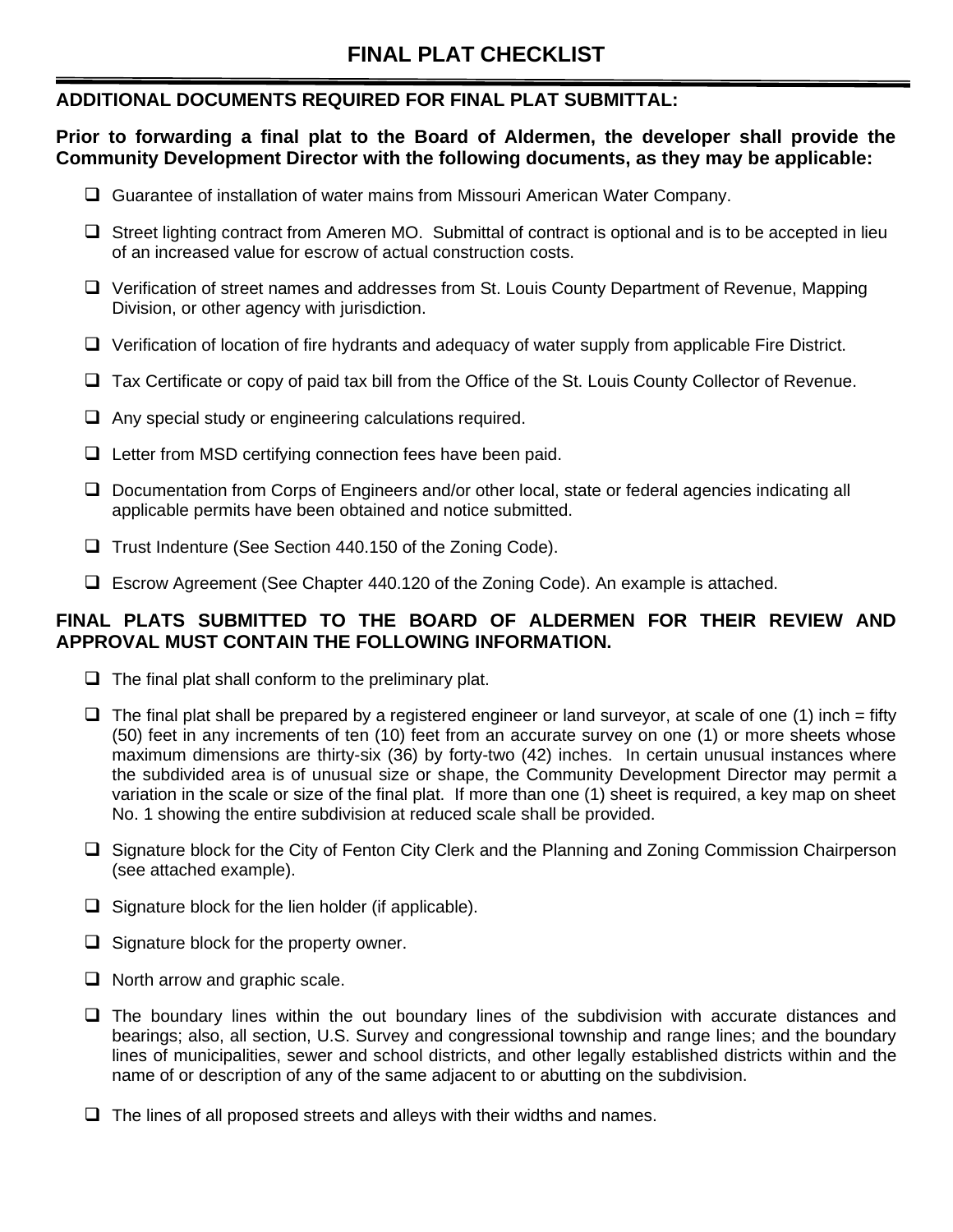## **ADDITIONAL DOCUMENTS REQUIRED FOR FINAL PLAT SUBMITTAL:**

**Prior to forwarding a final plat to the Board of Aldermen, the developer shall provide the Community Development Director with the following documents, as they may be applicable:**

- ❑ Guarantee of installation of water mains from Missouri American Water Company.
- ❑ Street lighting contract from Ameren MO. Submittal of contract is optional and is to be accepted in lieu of an increased value for escrow of actual construction costs.
- ❑ Verification of street names and addresses from St. Louis County Department of Revenue, Mapping Division, or other agency with jurisdiction.
- ❑ Verification of location of fire hydrants and adequacy of water supply from applicable Fire District.
- ❑ Tax Certificate or copy of paid tax bill from the Office of the St. Louis County Collector of Revenue.
- ❑ Any special study or engineering calculations required.
- ❑ Letter from MSD certifying connection fees have been paid.
- ❑ Documentation from Corps of Engineers and/or other local, state or federal agencies indicating all applicable permits have been obtained and notice submitted.
- ❑ Trust Indenture (See Section 440.150 of the Zoning Code).
- ❑ Escrow Agreement (See Chapter 440.120 of the Zoning Code). An example is attached.

## **FINAL PLATS SUBMITTED TO THE BOARD OF ALDERMEN FOR THEIR REVIEW AND APPROVAL MUST CONTAIN THE FOLLOWING INFORMATION.**

- $\Box$  The final plat shall conform to the preliminary plat.
- $\Box$  The final plat shall be prepared by a registered engineer or land surveyor, at scale of one (1) inch = fifty (50) feet in any increments of ten (10) feet from an accurate survey on one (1) or more sheets whose maximum dimensions are thirty-six (36) by forty-two (42) inches. In certain unusual instances where the subdivided area is of unusual size or shape, the Community Development Director may permit a variation in the scale or size of the final plat. If more than one (1) sheet is required, a key map on sheet No. 1 showing the entire subdivision at reduced scale shall be provided.
- ❑ Signature block for the City of Fenton City Clerk and the Planning and Zoning Commission Chairperson (see attached example).
- ❑ Signature block for the lien holder (if applicable).
- ❑ Signature block for the property owner.
- ❑ North arrow and graphic scale.
- ❑ The boundary lines within the out boundary lines of the subdivision with accurate distances and bearings; also, all section, U.S. Survey and congressional township and range lines; and the boundary lines of municipalities, sewer and school districts, and other legally established districts within and the name of or description of any of the same adjacent to or abutting on the subdivision.
- $\Box$  The lines of all proposed streets and alleys with their widths and names.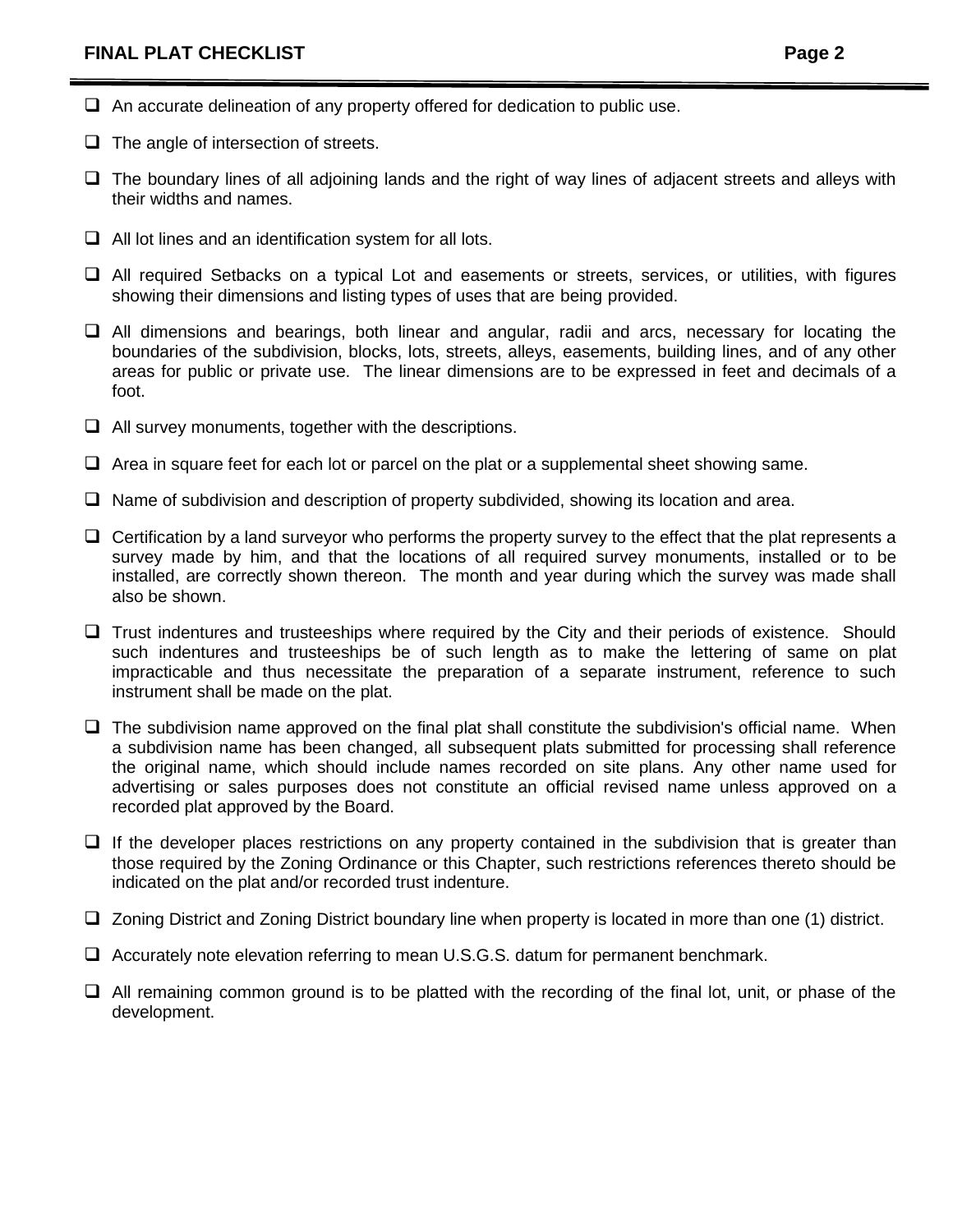- $\Box$  An accurate delineation of any property offered for dedication to public use.
- ❑ The angle of intersection of streets.
- ❑ The boundary lines of all adjoining lands and the right of way lines of adjacent streets and alleys with their widths and names.
- ❑ All lot lines and an identification system for all lots.
- ❑ All required Setbacks on a typical Lot and easements or streets, services, or utilities, with figures showing their dimensions and listing types of uses that are being provided.
- ❑ All dimensions and bearings, both linear and angular, radii and arcs, necessary for locating the boundaries of the subdivision, blocks, lots, streets, alleys, easements, building lines, and of any other areas for public or private use. The linear dimensions are to be expressed in feet and decimals of a foot.
- ❑ All survey monuments, together with the descriptions.
- $\Box$  Area in square feet for each lot or parcel on the plat or a supplemental sheet showing same.
- ❑ Name of subdivision and description of property subdivided, showing its location and area.
- $\Box$  Certification by a land surveyor who performs the property survey to the effect that the plat represents a survey made by him, and that the locations of all required survey monuments, installed or to be installed, are correctly shown thereon. The month and year during which the survey was made shall also be shown.
- □ Trust indentures and trusteeships where required by the City and their periods of existence. Should such indentures and trusteeships be of such length as to make the lettering of same on plat impracticable and thus necessitate the preparation of a separate instrument, reference to such instrument shall be made on the plat.
- $\square$  The subdivision name approved on the final plat shall constitute the subdivision's official name. When a subdivision name has been changed, all subsequent plats submitted for processing shall reference the original name, which should include names recorded on site plans. Any other name used for advertising or sales purposes does not constitute an official revised name unless approved on a recorded plat approved by the Board.
- ❑ If the developer places restrictions on any property contained in the subdivision that is greater than those required by the Zoning Ordinance or this Chapter, such restrictions references thereto should be indicated on the plat and/or recorded trust indenture.
- ❑ Zoning District and Zoning District boundary line when property is located in more than one (1) district.
- ❑ Accurately note elevation referring to mean U.S.G.S. datum for permanent benchmark.
- ❑ All remaining common ground is to be platted with the recording of the final lot, unit, or phase of the development.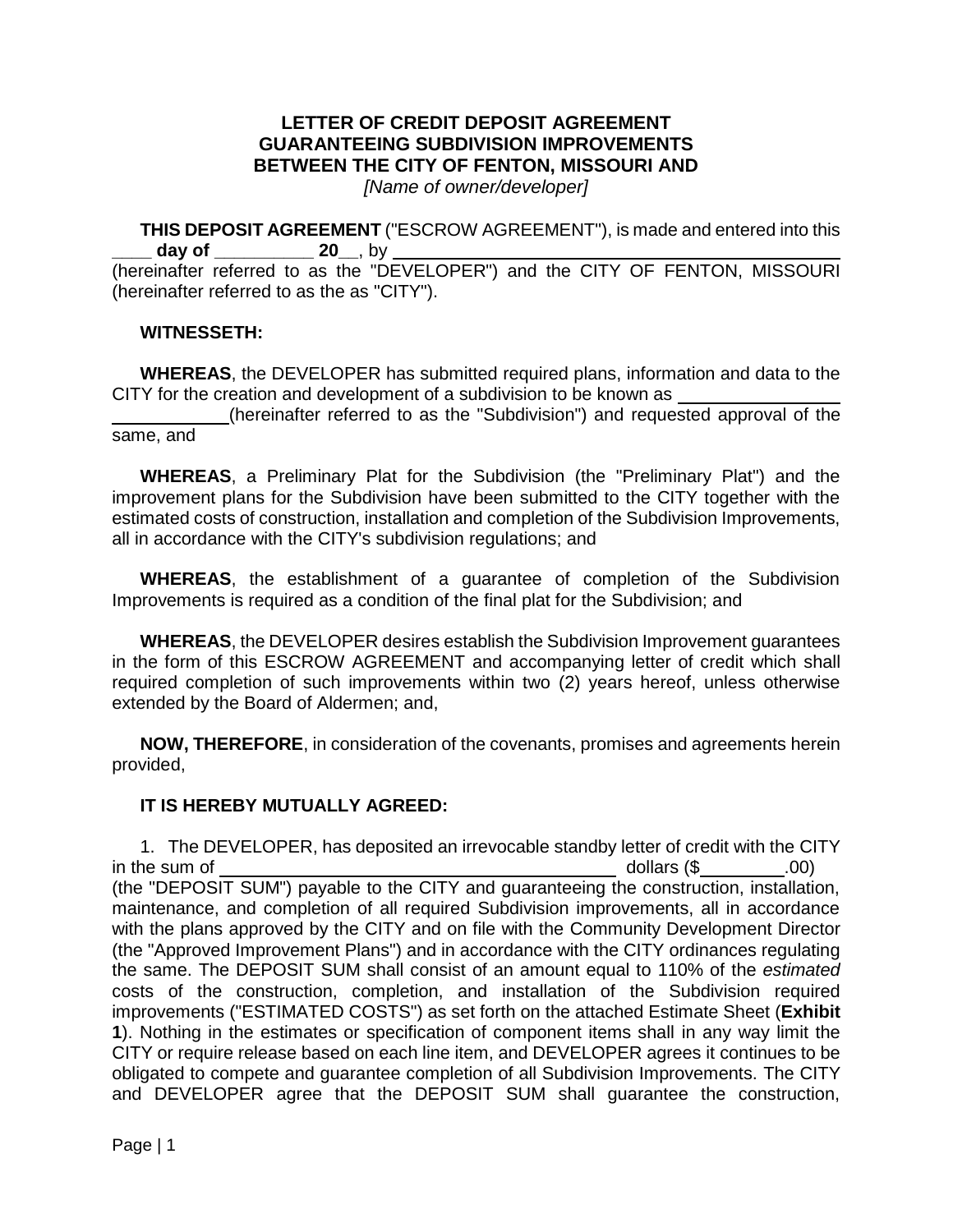## **LETTER OF CREDIT DEPOSIT AGREEMENT GUARANTEEING SUBDIVISION IMPROVEMENTS BETWEEN THE CITY OF FENTON, MISSOURI AND**

*[Name of owner/developer]* 

**THIS DEPOSIT AGREEMENT** ("ESCROW AGREEMENT"), is made and entered into this **day of \_\_\_\_\_\_\_\_\_\_ 20\_\_**, by \_

(hereinafter referred to as the "DEVELOPER") and the CITY OF FENTON, MISSOURI (hereinafter referred to as the as "CITY").

## **WITNESSETH:**

**WHEREAS**, the DEVELOPER has submitted required plans, information and data to the CITY for the creation and development of a subdivision to be known as

 (hereinafter referred to as the "Subdivision") and requested approval of the same, and

**WHEREAS**, a Preliminary Plat for the Subdivision (the "Preliminary Plat") and the improvement plans for the Subdivision have been submitted to the CITY together with the estimated costs of construction, installation and completion of the Subdivision Improvements, all in accordance with the CITY's subdivision regulations; and

**WHEREAS**, the establishment of a guarantee of completion of the Subdivision Improvements is required as a condition of the final plat for the Subdivision; and

**WHEREAS**, the DEVELOPER desires establish the Subdivision Improvement guarantees in the form of this ESCROW AGREEMENT and accompanying letter of credit which shall required completion of such improvements within two (2) years hereof, unless otherwise extended by the Board of Aldermen; and,

**NOW, THEREFORE**, in consideration of the covenants, promises and agreements herein provided,

## **IT IS HEREBY MUTUALLY AGREED:**

1. The DEVELOPER, has deposited an irrevocable standby letter of credit with the CITY in the sum of the sum of the sum of the sum of the sum of the sum of the sum of the sum of the sum of the sum o (the "DEPOSIT SUM") payable to the CITY and guaranteeing the construction, installation, maintenance, and completion of all required Subdivision improvements, all in accordance with the plans approved by the CITY and on file with the Community Development Director (the "Approved Improvement Plans") and in accordance with the CITY ordinances regulating the same. The DEPOSIT SUM shall consist of an amount equal to 110% of the *estimated*  costs of the construction, completion, and installation of the Subdivision required improvements ("ESTIMATED COSTS") as set forth on the attached Estimate Sheet (**Exhibit 1**). Nothing in the estimates or specification of component items shall in any way limit the CITY or require release based on each line item, and DEVELOPER agrees it continues to be obligated to compete and guarantee completion of all Subdivision Improvements. The CITY and DEVELOPER agree that the DEPOSIT SUM shall guarantee the construction,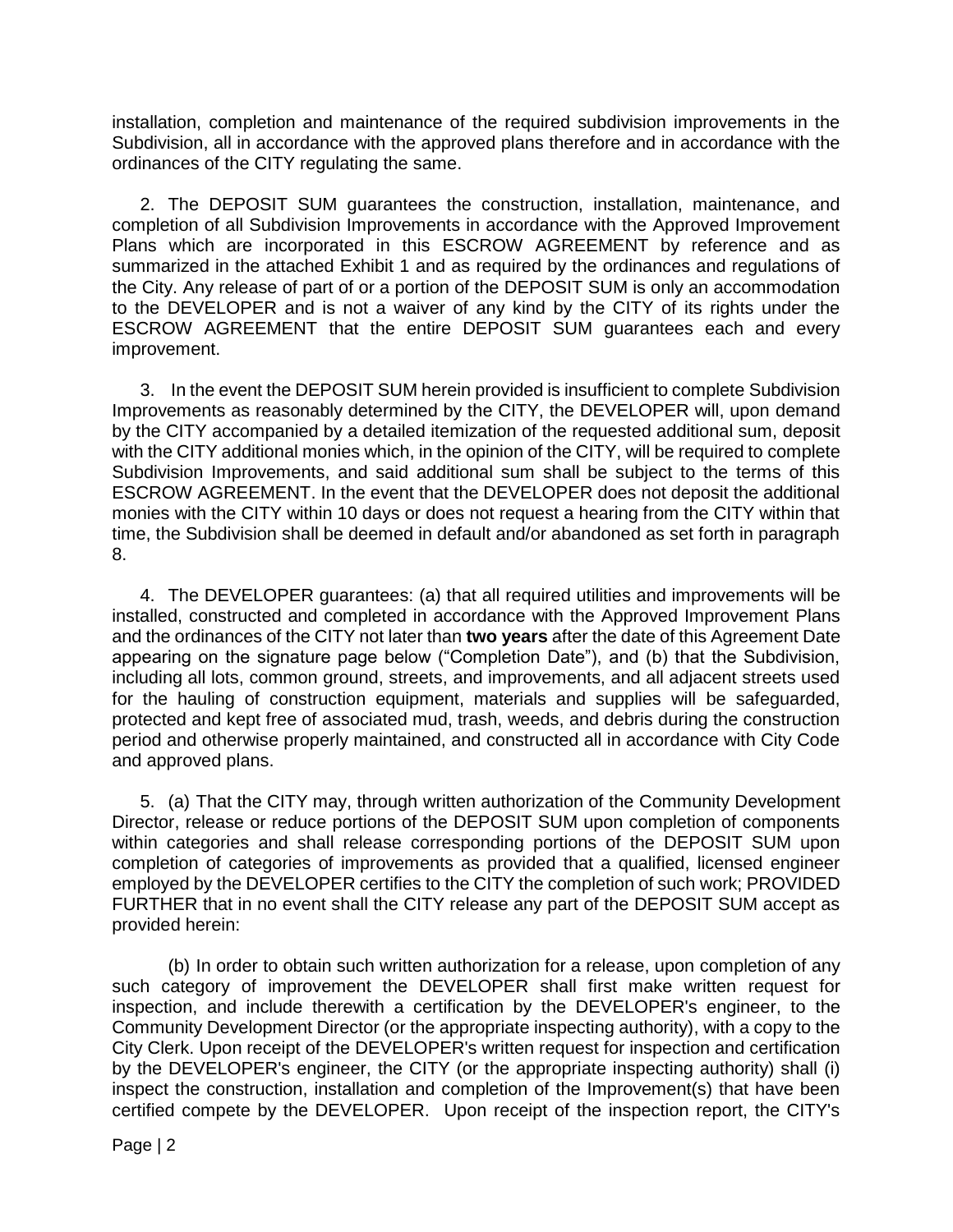installation, completion and maintenance of the required subdivision improvements in the Subdivision, all in accordance with the approved plans therefore and in accordance with the ordinances of the CITY regulating the same.

2. The DEPOSIT SUM guarantees the construction, installation, maintenance, and completion of all Subdivision Improvements in accordance with the Approved Improvement Plans which are incorporated in this ESCROW AGREEMENT by reference and as summarized in the attached Exhibit 1 and as required by the ordinances and regulations of the City. Any release of part of or a portion of the DEPOSIT SUM is only an accommodation to the DEVELOPER and is not a waiver of any kind by the CITY of its rights under the ESCROW AGREEMENT that the entire DEPOSIT SUM guarantees each and every improvement.

3. In the event the DEPOSIT SUM herein provided is insufficient to complete Subdivision Improvements as reasonably determined by the CITY, the DEVELOPER will, upon demand by the CITY accompanied by a detailed itemization of the requested additional sum, deposit with the CITY additional monies which, in the opinion of the CITY, will be required to complete Subdivision Improvements, and said additional sum shall be subject to the terms of this ESCROW AGREEMENT. In the event that the DEVELOPER does not deposit the additional monies with the CITY within 10 days or does not request a hearing from the CITY within that time, the Subdivision shall be deemed in default and/or abandoned as set forth in paragraph 8.

4. The DEVELOPER guarantees: (a) that all required utilities and improvements will be installed, constructed and completed in accordance with the Approved Improvement Plans and the ordinances of the CITY not later than **two years** after the date of this Agreement Date appearing on the signature page below ("Completion Date"), and (b) that the Subdivision, including all lots, common ground, streets, and improvements, and all adjacent streets used for the hauling of construction equipment, materials and supplies will be safeguarded, protected and kept free of associated mud, trash, weeds, and debris during the construction period and otherwise properly maintained, and constructed all in accordance with City Code and approved plans.

5. (a) That the CITY may, through written authorization of the Community Development Director, release or reduce portions of the DEPOSIT SUM upon completion of components within categories and shall release corresponding portions of the DEPOSIT SUM upon completion of categories of improvements as provided that a qualified, licensed engineer employed by the DEVELOPER certifies to the CITY the completion of such work; PROVIDED FURTHER that in no event shall the CITY release any part of the DEPOSIT SUM accept as provided herein:

(b) In order to obtain such written authorization for a release, upon completion of any such category of improvement the DEVELOPER shall first make written request for inspection, and include therewith a certification by the DEVELOPER's engineer, to the Community Development Director (or the appropriate inspecting authority), with a copy to the City Clerk. Upon receipt of the DEVELOPER's written request for inspection and certification by the DEVELOPER's engineer, the CITY (or the appropriate inspecting authority) shall (i) inspect the construction, installation and completion of the Improvement(s) that have been certified compete by the DEVELOPER. Upon receipt of the inspection report, the CITY's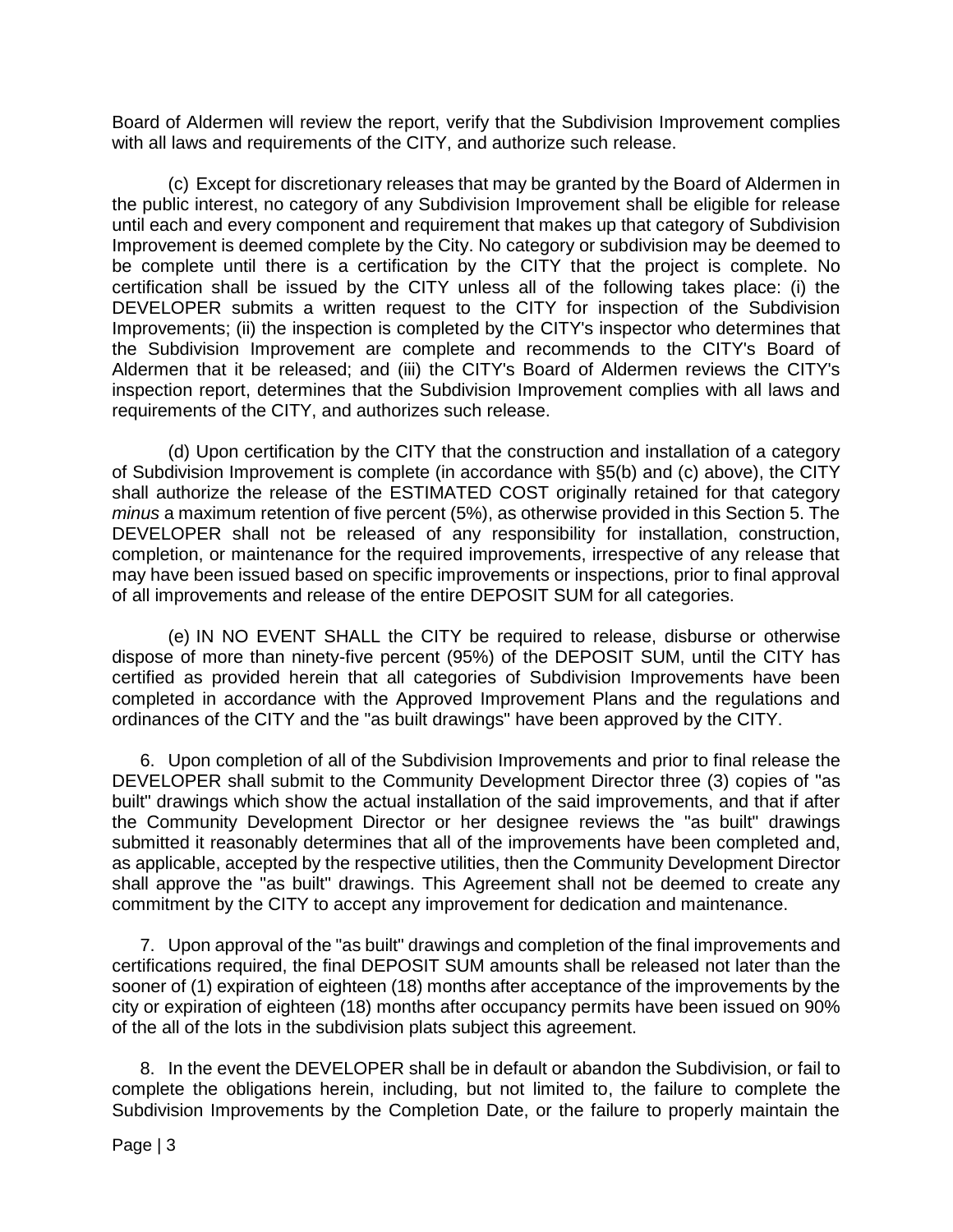Board of Aldermen will review the report, verify that the Subdivision Improvement complies with all laws and requirements of the CITY, and authorize such release.

(c) Except for discretionary releases that may be granted by the Board of Aldermen in the public interest, no category of any Subdivision Improvement shall be eligible for release until each and every component and requirement that makes up that category of Subdivision Improvement is deemed complete by the City. No category or subdivision may be deemed to be complete until there is a certification by the CITY that the project is complete. No certification shall be issued by the CITY unless all of the following takes place: (i) the DEVELOPER submits a written request to the CITY for inspection of the Subdivision Improvements; (ii) the inspection is completed by the CITY's inspector who determines that the Subdivision Improvement are complete and recommends to the CITY's Board of Aldermen that it be released; and (iii) the CITY's Board of Aldermen reviews the CITY's inspection report, determines that the Subdivision Improvement complies with all laws and requirements of the CITY, and authorizes such release.

(d) Upon certification by the CITY that the construction and installation of a category of Subdivision Improvement is complete (in accordance with §5(b) and (c) above), the CITY shall authorize the release of the ESTIMATED COST originally retained for that category *minus* a maximum retention of five percent (5%), as otherwise provided in this Section 5. The DEVELOPER shall not be released of any responsibility for installation, construction, completion, or maintenance for the required improvements, irrespective of any release that may have been issued based on specific improvements or inspections, prior to final approval of all improvements and release of the entire DEPOSIT SUM for all categories.

(e) IN NO EVENT SHALL the CITY be required to release, disburse or otherwise dispose of more than ninety-five percent (95%) of the DEPOSIT SUM, until the CITY has certified as provided herein that all categories of Subdivision Improvements have been completed in accordance with the Approved Improvement Plans and the regulations and ordinances of the CITY and the "as built drawings" have been approved by the CITY.

6. Upon completion of all of the Subdivision Improvements and prior to final release the DEVELOPER shall submit to the Community Development Director three (3) copies of "as built" drawings which show the actual installation of the said improvements, and that if after the Community Development Director or her designee reviews the "as built" drawings submitted it reasonably determines that all of the improvements have been completed and, as applicable, accepted by the respective utilities, then the Community Development Director shall approve the "as built" drawings. This Agreement shall not be deemed to create any commitment by the CITY to accept any improvement for dedication and maintenance.

7. Upon approval of the "as built" drawings and completion of the final improvements and certifications required, the final DEPOSIT SUM amounts shall be released not later than the sooner of (1) expiration of eighteen (18) months after acceptance of the improvements by the city or expiration of eighteen (18) months after occupancy permits have been issued on 90% of the all of the lots in the subdivision plats subject this agreement.

8. In the event the DEVELOPER shall be in default or abandon the Subdivision, or fail to complete the obligations herein, including, but not limited to, the failure to complete the Subdivision Improvements by the Completion Date, or the failure to properly maintain the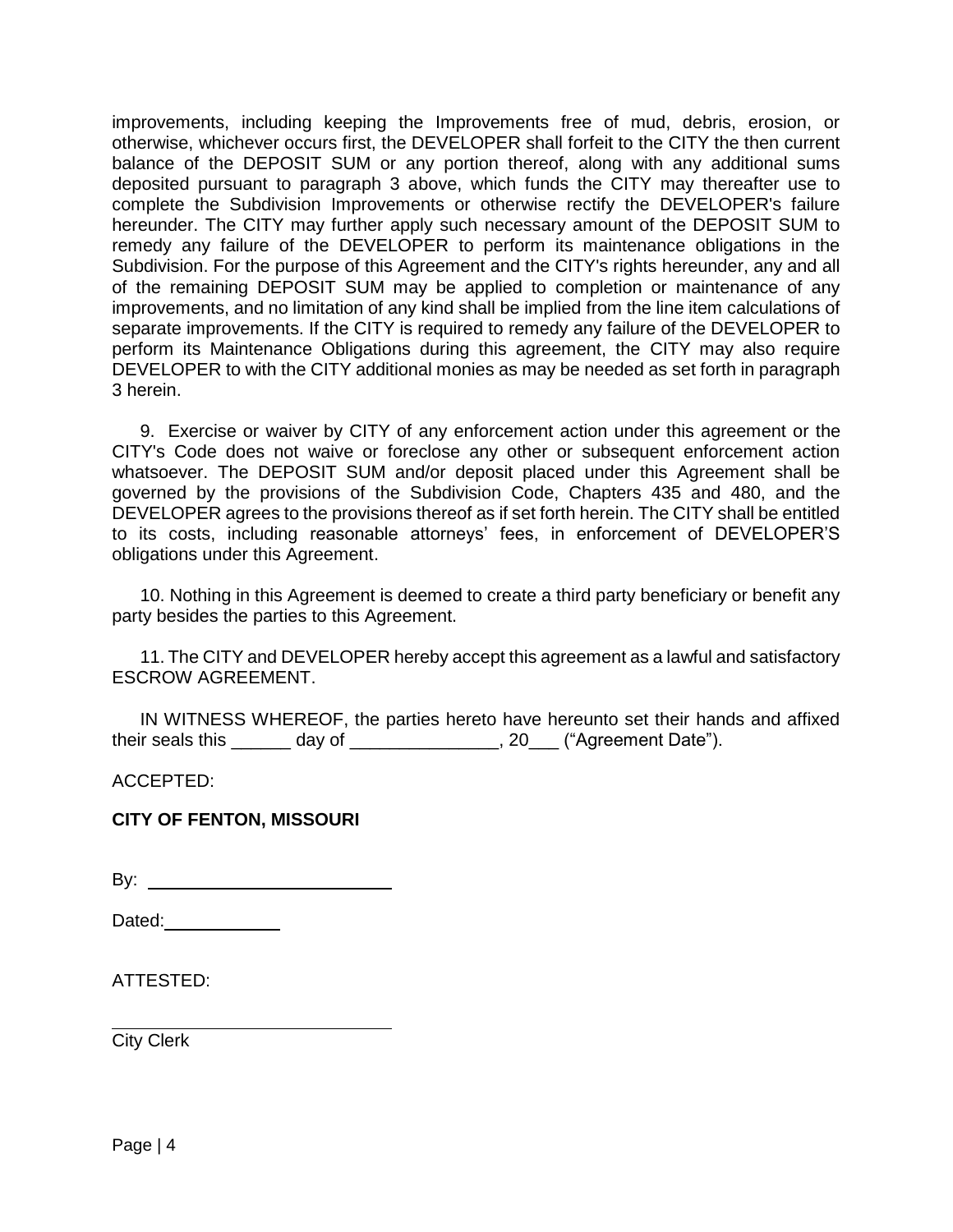improvements, including keeping the Improvements free of mud, debris, erosion, or otherwise, whichever occurs first, the DEVELOPER shall forfeit to the CITY the then current balance of the DEPOSIT SUM or any portion thereof, along with any additional sums deposited pursuant to paragraph 3 above, which funds the CITY may thereafter use to complete the Subdivision Improvements or otherwise rectify the DEVELOPER's failure hereunder. The CITY may further apply such necessary amount of the DEPOSIT SUM to remedy any failure of the DEVELOPER to perform its maintenance obligations in the Subdivision. For the purpose of this Agreement and the CITY's rights hereunder, any and all of the remaining DEPOSIT SUM may be applied to completion or maintenance of any improvements, and no limitation of any kind shall be implied from the line item calculations of separate improvements. If the CITY is required to remedy any failure of the DEVELOPER to perform its Maintenance Obligations during this agreement, the CITY may also require DEVELOPER to with the CITY additional monies as may be needed as set forth in paragraph 3 herein.

9. Exercise or waiver by CITY of any enforcement action under this agreement or the CITY's Code does not waive or foreclose any other or subsequent enforcement action whatsoever. The DEPOSIT SUM and/or deposit placed under this Agreement shall be governed by the provisions of the Subdivision Code, Chapters 435 and 480, and the DEVELOPER agrees to the provisions thereof as if set forth herein. The CITY shall be entitled to its costs, including reasonable attorneys' fees, in enforcement of DEVELOPER'S obligations under this Agreement.

10. Nothing in this Agreement is deemed to create a third party beneficiary or benefit any party besides the parties to this Agreement.

11. The CITY and DEVELOPER hereby accept this agreement as a lawful and satisfactory ESCROW AGREEMENT.

IN WITNESS WHEREOF, the parties hereto have hereunto set their hands and affixed their seals this \_\_\_\_\_\_\_ day of \_\_\_\_\_\_\_\_\_\_\_\_\_\_\_, 20\_\_\_ ("Agreement Date").

ACCEPTED:

## **CITY OF FENTON, MISSOURI**

By:

Dated: **Dated:** 

ATTESTED:

City Clerk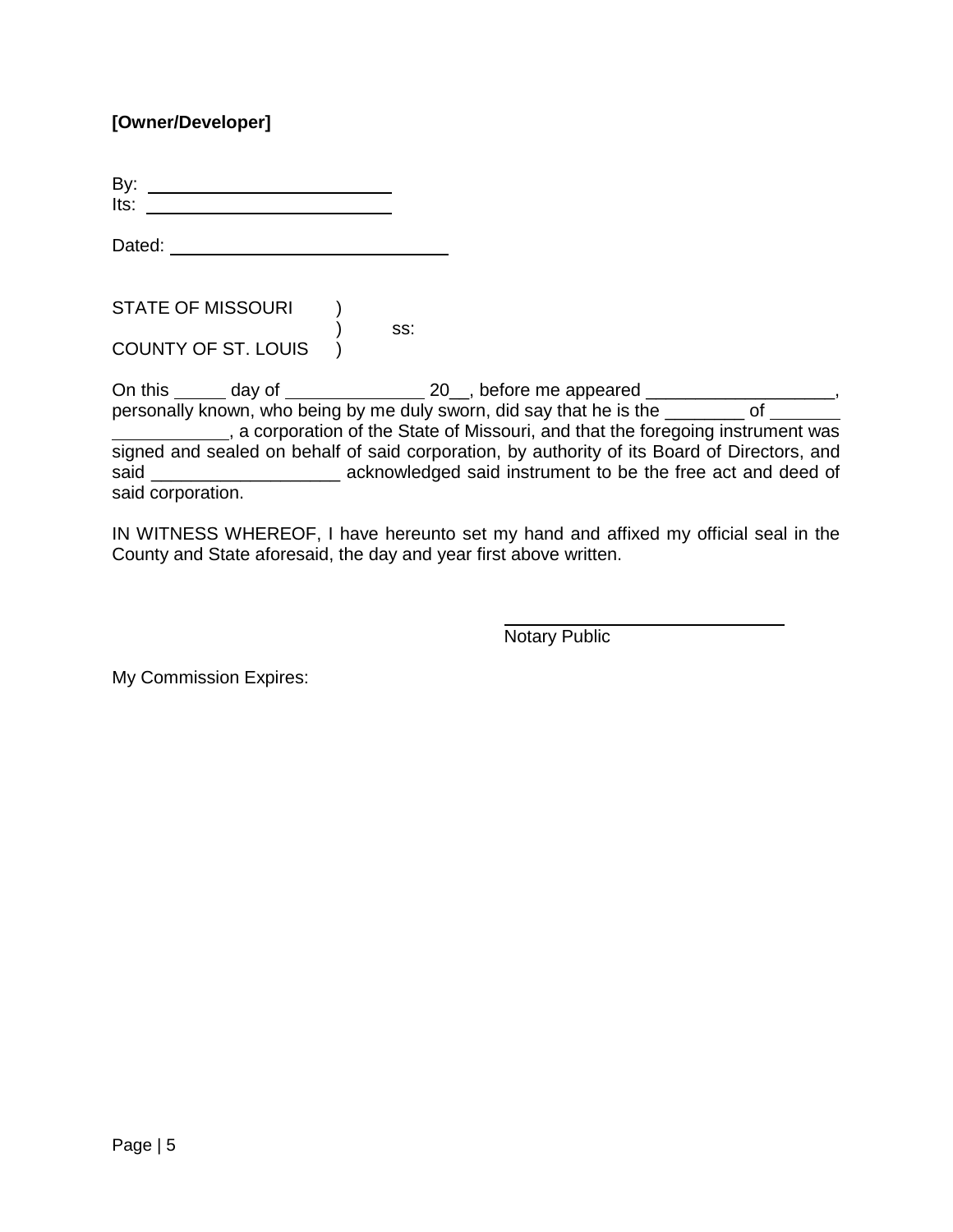## **[Owner/Developer]**

By:  $Its: \_\_\_\_\_\_\_\$ 

Dated: **Dated:** 

STATE OF MISSOURI ) ) ss:

COUNTY OF ST. LOUIS )

On this day of 20\_\_, before me appeared \_\_\_\_\_\_\_\_\_\_\_\_\_\_\_\_\_\_\_, personally known, who being by me duly sworn, did say that he is the \_\_\_\_\_\_\_ of \_\_\_\_\_ , a corporation of the State of Missouri, and that the foregoing instrument was signed and sealed on behalf of said corporation, by authority of its Board of Directors, and said \_\_\_\_\_\_\_\_\_\_\_\_\_\_\_\_\_\_\_\_\_\_\_\_\_ acknowledged said instrument to be the free act and deed of said corporation.

IN WITNESS WHEREOF, I have hereunto set my hand and affixed my official seal in the County and State aforesaid, the day and year first above written.

Notary Public

My Commission Expires: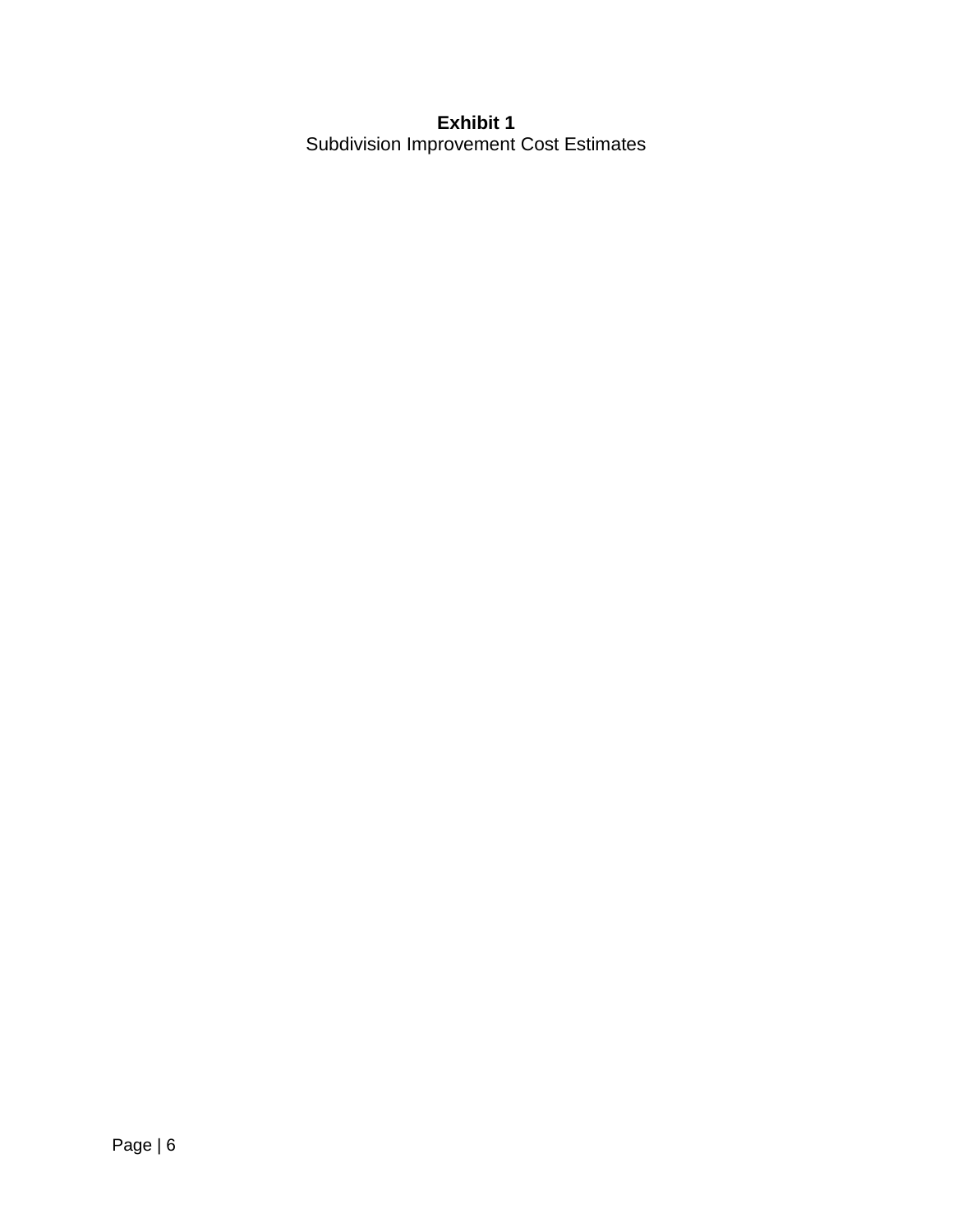## **Exhibit 1**  Subdivision Improvement Cost Estimates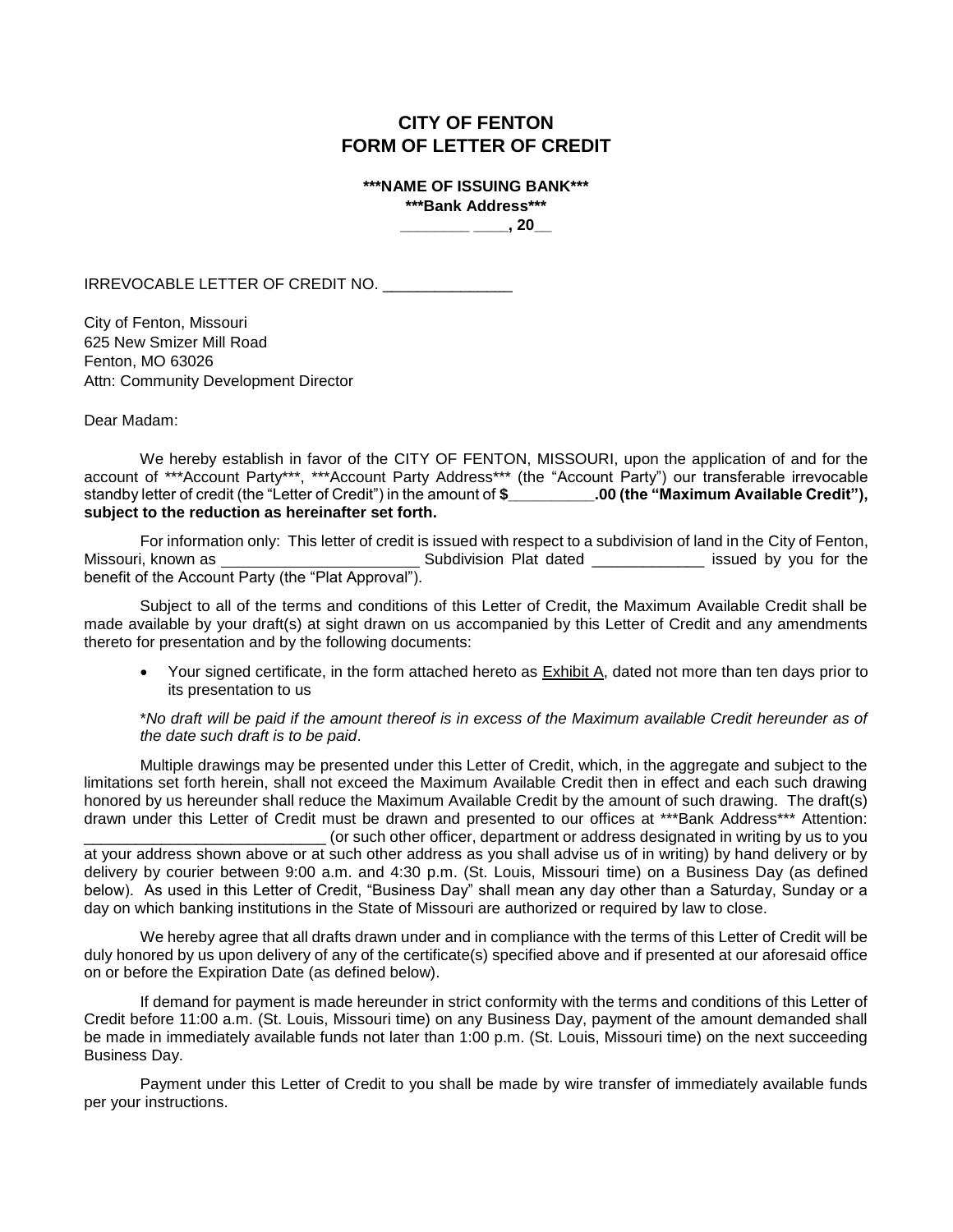## **CITY OF FENTON FORM OF LETTER OF CREDIT**

**\*\*\*NAME OF ISSUING BANK\*\*\* \*\*\*Bank Address\*\*\*** 

**\_\_\_\_\_\_\_\_ \_\_\_\_, 20\_\_**

IRREVOCABLE LETTER OF CREDIT NO. \_\_\_\_\_\_\_\_\_\_\_\_\_\_\_

City of Fenton, Missouri 625 New Smizer Mill Road Fenton, MO 63026 Attn: Community Development Director

Dear Madam:

 We hereby establish in favor of the CITY OF FENTON, MISSOURI, upon the application of and for the account of \*\*\*Account Party\*\*\*, \*\*\*Account Party Address\*\*\* (the "Account Party") our transferable irrevocable standby letter of credit (the "Letter of Credit") in the amount of **\$\_\_\_\_\_\_\_\_\_\_.00 (the "Maximum Available Credit"), subject to the reduction as hereinafter set forth.** 

For information only: This letter of credit is issued with respect to a subdivision of land in the City of Fenton, Missouri, known as \_\_\_\_\_\_\_\_\_\_\_\_\_\_\_\_\_\_\_\_\_\_\_\_\_\_\_\_\_\_Subdivision Plat dated \_\_\_\_\_\_\_\_\_\_\_\_\_\_\_\_\_\_\_ issued by you for the benefit of the Account Party (the "Plat Approval").

 Subject to all of the terms and conditions of this Letter of Credit, the Maximum Available Credit shall be made available by your draft(s) at sight drawn on us accompanied by this Letter of Credit and any amendments thereto for presentation and by the following documents:

 Your signed certificate, in the form attached hereto as Exhibit A, dated not more than ten days prior to its presentation to us

\**No draft will be paid if the amount thereof is in excess of the Maximum available Credit hereunder as of the date such draft is to be paid*.

Multiple drawings may be presented under this Letter of Credit, which, in the aggregate and subject to the limitations set forth herein, shall not exceed the Maximum Available Credit then in effect and each such drawing honored by us hereunder shall reduce the Maximum Available Credit by the amount of such drawing. The draft(s) drawn under this Letter of Credit must be drawn and presented to our offices at \*\*\*Bank Address\*\*\* Attention:

\_\_\_\_\_\_\_\_\_\_\_\_\_\_\_\_\_\_\_\_\_\_\_\_\_\_\_\_ (or such other officer, department or address designated in writing by us to you at your address shown above or at such other address as you shall advise us of in writing) by hand delivery or by delivery by courier between 9:00 a.m. and 4:30 p.m. (St. Louis, Missouri time) on a Business Day (as defined below). As used in this Letter of Credit, "Business Day" shall mean any day other than a Saturday, Sunday or a day on which banking institutions in the State of Missouri are authorized or required by law to close.

We hereby agree that all drafts drawn under and in compliance with the terms of this Letter of Credit will be duly honored by us upon delivery of any of the certificate(s) specified above and if presented at our aforesaid office on or before the Expiration Date (as defined below).

If demand for payment is made hereunder in strict conformity with the terms and conditions of this Letter of Credit before 11:00 a.m. (St. Louis, Missouri time) on any Business Day, payment of the amount demanded shall be made in immediately available funds not later than 1:00 p.m. (St. Louis, Missouri time) on the next succeeding Business Day.

Payment under this Letter of Credit to you shall be made by wire transfer of immediately available funds per your instructions.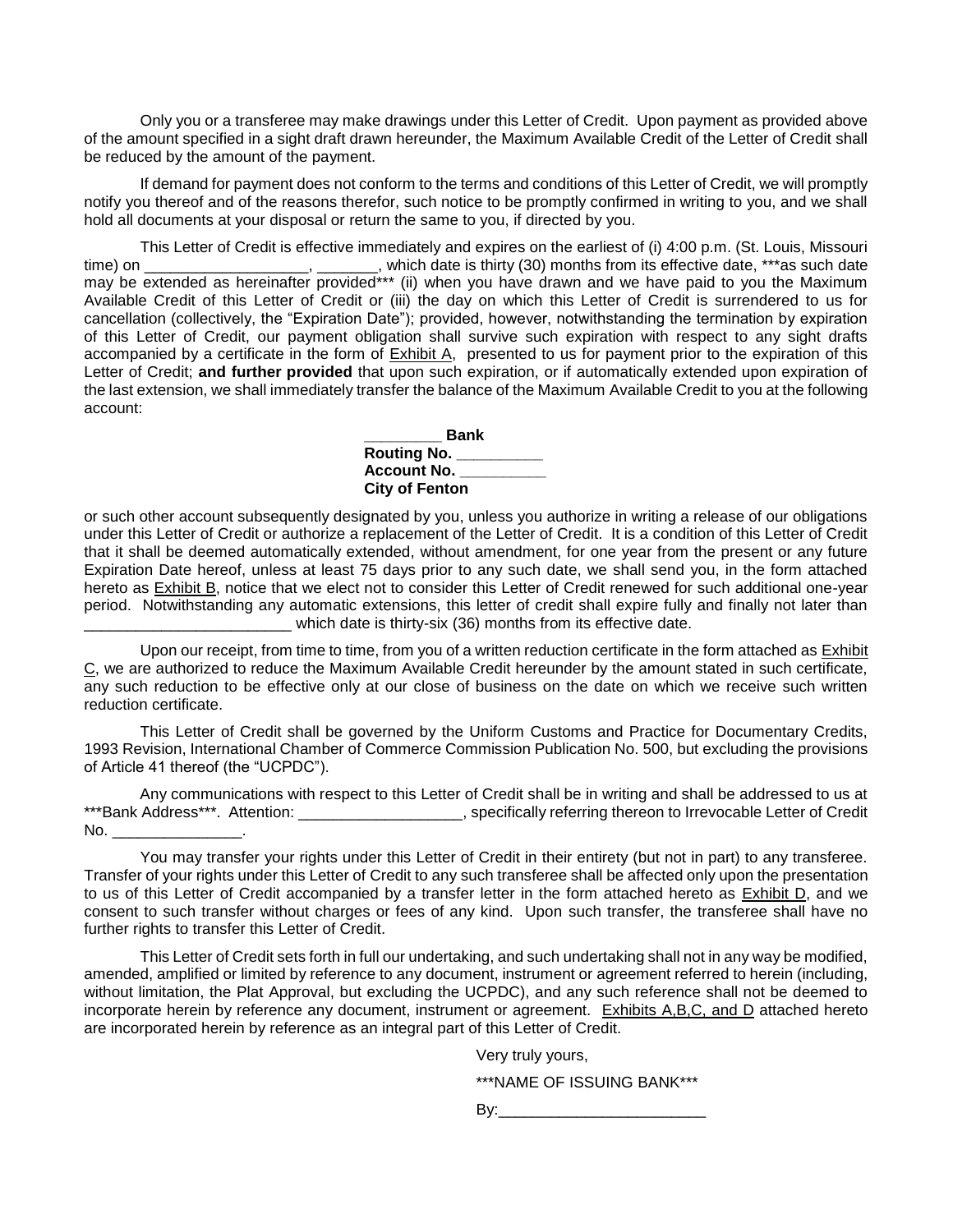Only you or a transferee may make drawings under this Letter of Credit. Upon payment as provided above of the amount specified in a sight draft drawn hereunder, the Maximum Available Credit of the Letter of Credit shall be reduced by the amount of the payment.

If demand for payment does not conform to the terms and conditions of this Letter of Credit, we will promptly notify you thereof and of the reasons therefor, such notice to be promptly confirmed in writing to you, and we shall hold all documents at your disposal or return the same to you, if directed by you.

This Letter of Credit is effective immediately and expires on the earliest of (i) 4:00 p.m. (St. Louis, Missouri time) on \_\_\_\_\_\_\_\_\_\_\_\_\_\_\_\_\_\_\_\_, \_\_\_\_\_\_\_, which date is thirty (30) months from its effective date, \*\*\*as such date may be extended as hereinafter provided\*\*\* (ii) when you have drawn and we have paid to you the Maximum Available Credit of this Letter of Credit or (iii) the day on which this Letter of Credit is surrendered to us for cancellation (collectively, the "Expiration Date"); provided, however, notwithstanding the termination by expiration of this Letter of Credit, our payment obligation shall survive such expiration with respect to any sight drafts accompanied by a certificate in the form of Exhibit A, presented to us for payment prior to the expiration of this Letter of Credit; **and further provided** that upon such expiration, or if automatically extended upon expiration of the last extension, we shall immediately transfer the balance of the Maximum Available Credit to you at the following account:

| <b>Bank</b>           |  |  |  |  |
|-----------------------|--|--|--|--|
| Routing No.           |  |  |  |  |
| Account No. _         |  |  |  |  |
| <b>City of Fenton</b> |  |  |  |  |

or such other account subsequently designated by you, unless you authorize in writing a release of our obligations under this Letter of Credit or authorize a replacement of the Letter of Credit. It is a condition of this Letter of Credit that it shall be deemed automatically extended, without amendment, for one year from the present or any future Expiration Date hereof, unless at least 75 days prior to any such date, we shall send you, in the form attached hereto as Exhibit B, notice that we elect not to consider this Letter of Credit renewed for such additional one-year period. Notwithstanding any automatic extensions, this letter of credit shall expire fully and finally not later than which date is thirty-six (36) months from its effective date.

Upon our receipt, from time to time, from you of a written reduction certificate in the form attached as **Exhibit** C, we are authorized to reduce the Maximum Available Credit hereunder by the amount stated in such certificate, any such reduction to be effective only at our close of business on the date on which we receive such written reduction certificate.

This Letter of Credit shall be governed by the Uniform Customs and Practice for Documentary Credits, 1993 Revision, International Chamber of Commerce Commission Publication No. 500, but excluding the provisions of Article 41 thereof (the "UCPDC").

Any communications with respect to this Letter of Credit shall be in writing and shall be addressed to us at \*\*\*Bank Address\*\*\*. Attention: \_\_\_\_\_\_\_\_\_\_\_\_\_\_\_\_\_\_\_\_\_, specifically referring thereon to Irrevocable Letter of Credit No. \_\_\_\_\_\_\_\_\_\_\_\_\_\_\_.

You may transfer your rights under this Letter of Credit in their entirety (but not in part) to any transferee. Transfer of your rights under this Letter of Credit to any such transferee shall be affected only upon the presentation to us of this Letter of Credit accompanied by a transfer letter in the form attached hereto as Exhibit D, and we consent to such transfer without charges or fees of any kind. Upon such transfer, the transferee shall have no further rights to transfer this Letter of Credit.

This Letter of Credit sets forth in full our undertaking, and such undertaking shall not in any way be modified, amended, amplified or limited by reference to any document, instrument or agreement referred to herein (including, without limitation, the Plat Approval, but excluding the UCPDC), and any such reference shall not be deemed to incorporate herein by reference any document, instrument or agreement. Exhibits A,B,C, and D attached hereto are incorporated herein by reference as an integral part of this Letter of Credit.

Very truly yours,

\*\*\*NAME OF ISSUING BANK\*\*\*

By:\_\_\_\_\_\_\_\_\_\_\_\_\_\_\_\_\_\_\_\_\_\_\_\_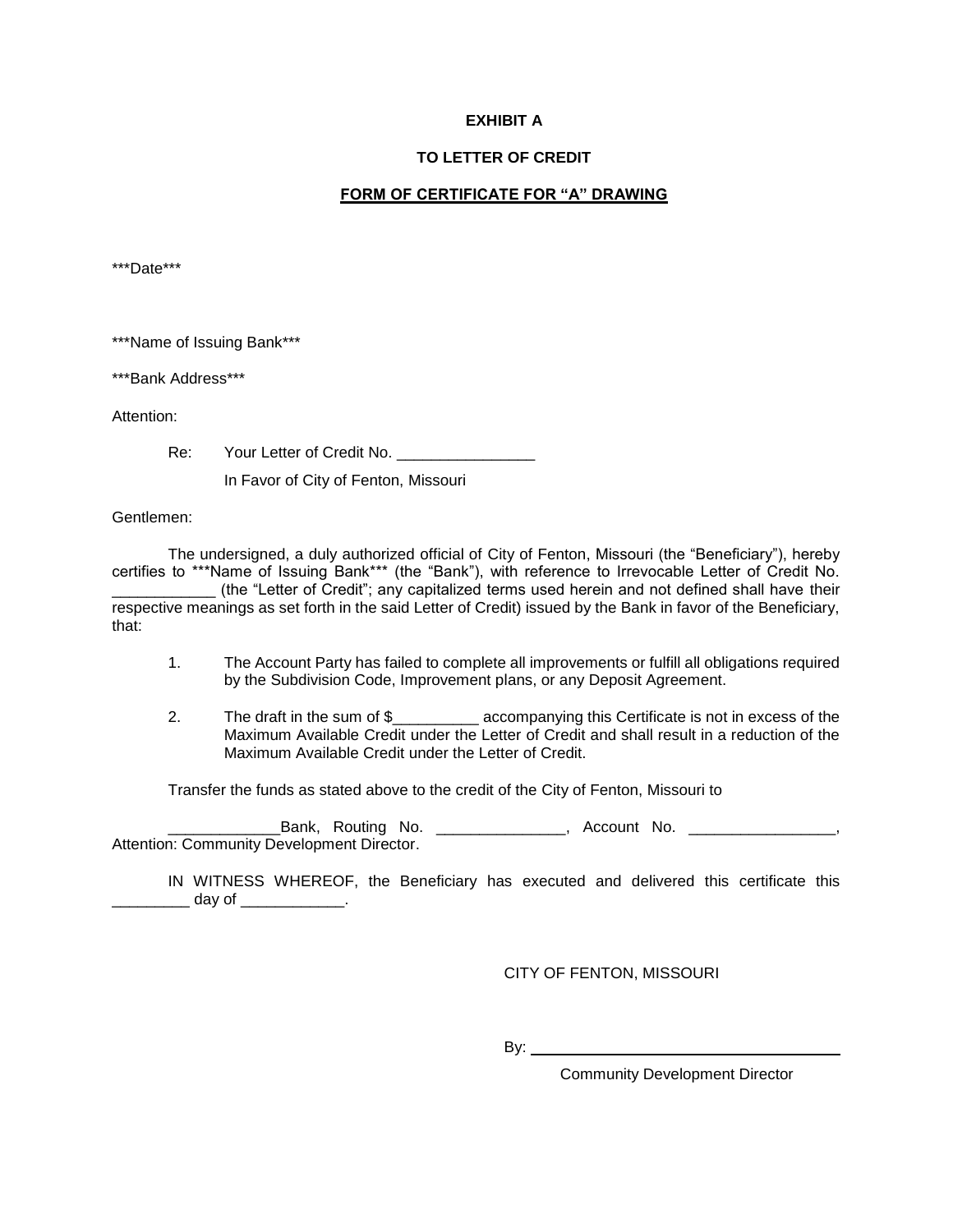### **EXHIBIT A**

#### **TO LETTER OF CREDIT**

## **FORM OF CERTIFICATE FOR "A" DRAWING**

\*\*\*Date\*\*\*

\*\*\*Name of Issuing Bank\*\*\*

\*\*\*Bank Address\*\*\*

Attention:

Re: Your Letter of Credit No. \_\_\_\_\_\_\_\_\_\_\_

In Favor of City of Fenton, Missouri

Gentlemen:

 The undersigned, a duly authorized official of City of Fenton, Missouri (the "Beneficiary"), hereby certifies to \*\*\*Name of Issuing Bank\*\*\* (the "Bank"), with reference to Irrevocable Letter of Credit No. \_\_\_\_\_\_\_\_\_\_\_\_ (the "Letter of Credit"; any capitalized terms used herein and not defined shall have their respective meanings as set forth in the said Letter of Credit) issued by the Bank in favor of the Beneficiary, that:

- 1. The Account Party has failed to complete all improvements or fulfill all obligations required by the Subdivision Code, Improvement plans, or any Deposit Agreement.
- 2. The draft in the sum of \$\_\_\_\_\_\_\_\_\_\_\_\_ accompanying this Certificate is not in excess of the Maximum Available Credit under the Letter of Credit and shall result in a reduction of the Maximum Available Credit under the Letter of Credit.

Transfer the funds as stated above to the credit of the City of Fenton, Missouri to

Eank, Routing No. \_\_\_\_\_\_\_\_\_\_\_\_\_\_\_, Account No. \_\_\_\_\_\_\_\_\_\_\_\_\_\_\_\_\_\_, Attention: Community Development Director.

IN WITNESS WHEREOF, the Beneficiary has executed and delivered this certificate this \_\_\_\_\_\_\_\_\_ day of \_\_\_\_\_\_\_\_\_\_\_\_.

CITY OF FENTON, MISSOURI

By:

Community Development Director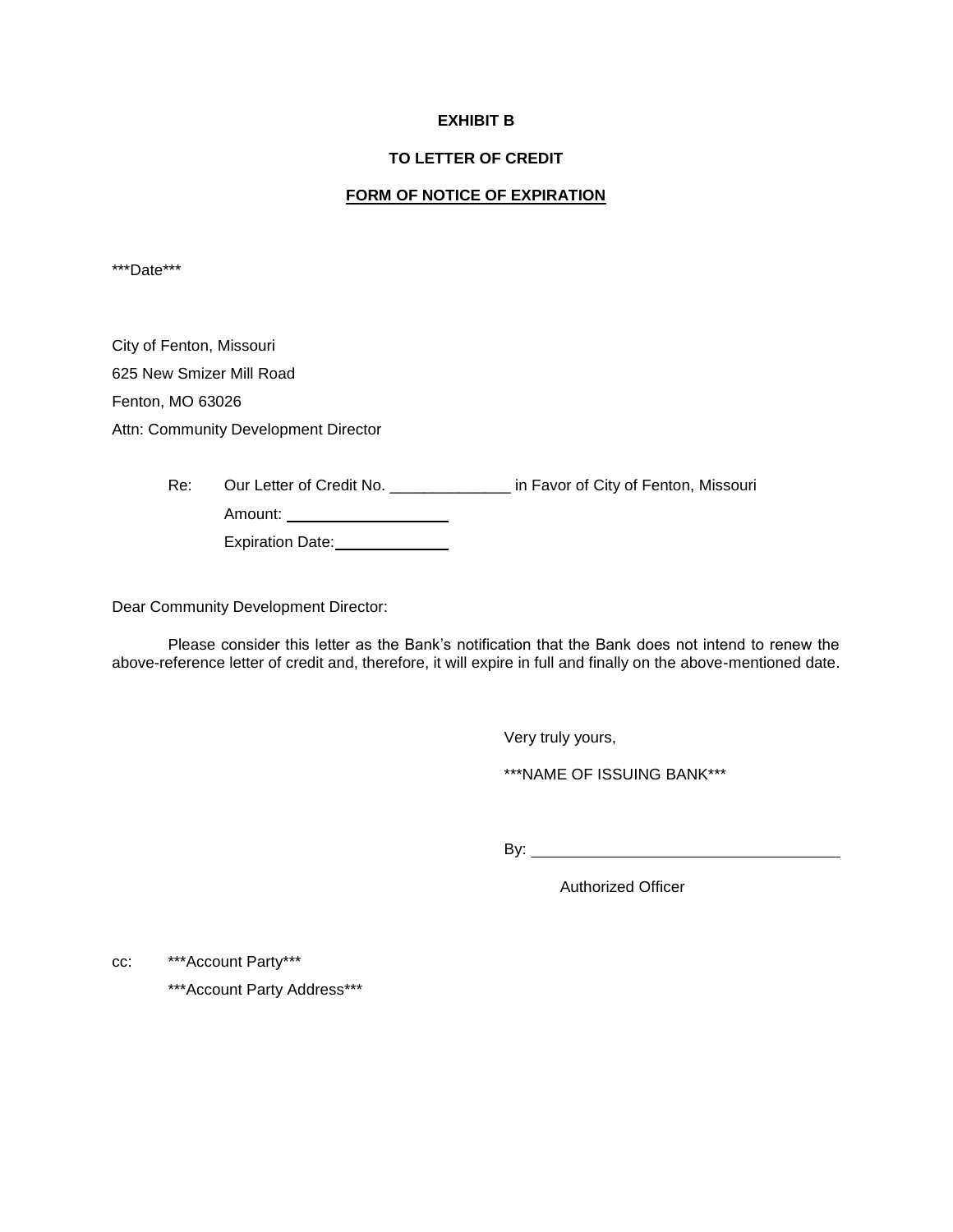#### **EXHIBIT B**

#### **TO LETTER OF CREDIT**

#### **FORM OF NOTICE OF EXPIRATION**

\*\*\*Date\*\*\*

City of Fenton, Missouri 625 New Smizer Mill Road Fenton, MO 63026 Attn: Community Development Director

> Re: Our Letter of Credit No. \_\_\_\_\_\_\_\_\_\_\_\_\_\_\_\_ in Favor of City of Fenton, Missouri Amount: \_\_\_\_\_\_\_\_\_\_\_\_\_\_\_\_\_\_\_\_\_\_ Expiration Date: \_\_\_\_\_\_\_\_\_\_\_\_\_\_

Dear Community Development Director:

 Please consider this letter as the Bank's notification that the Bank does not intend to renew the above-reference letter of credit and, therefore, it will expire in full and finally on the above-mentioned date.

Very truly yours,

\*\*\*NAME OF ISSUING BANK\*\*\*

By:

Authorized Officer

cc: \*\*\*Account Party\*\*\*

\*\*\*Account Party Address\*\*\*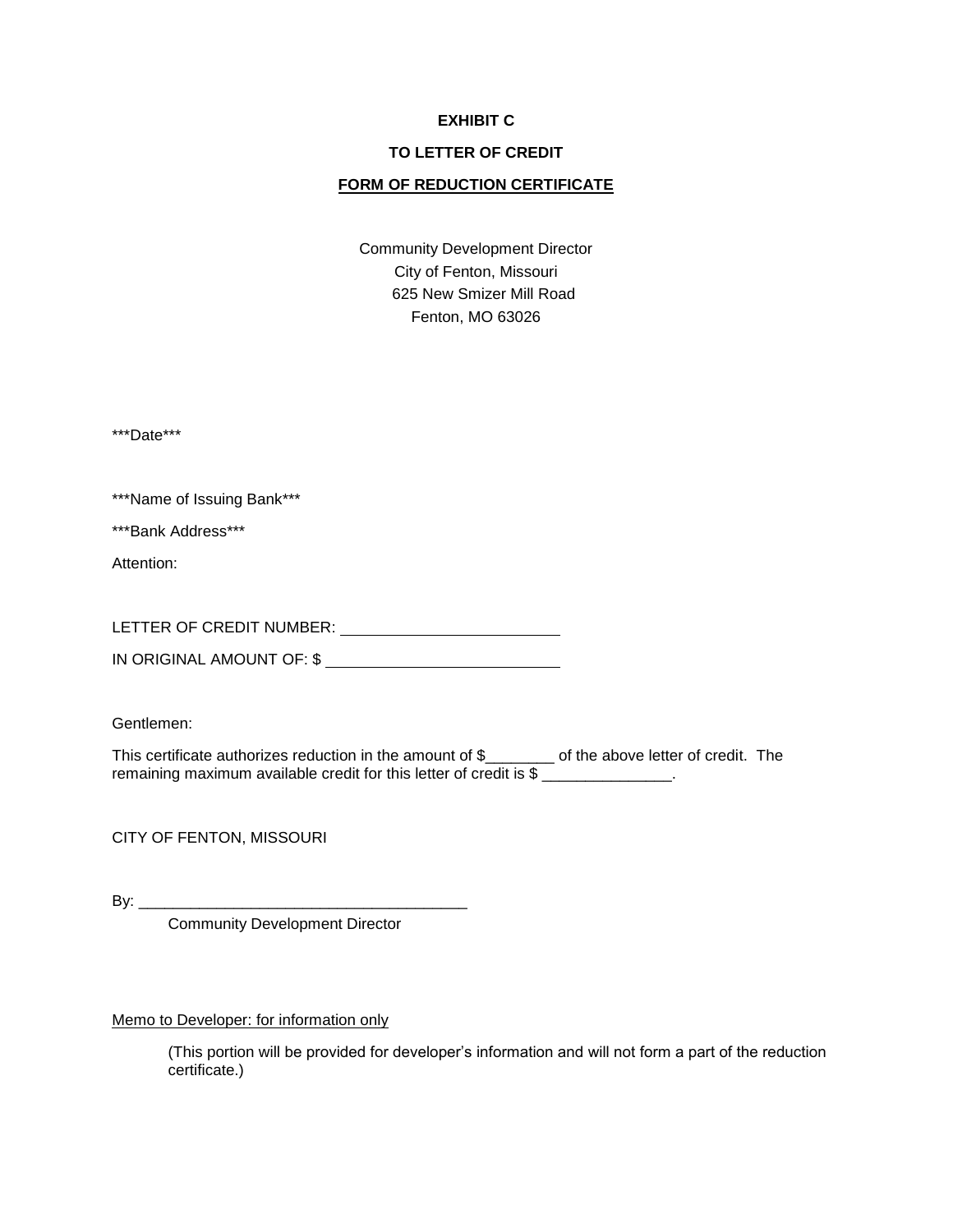#### **EXHIBIT C**

### **TO LETTER OF CREDIT**

## **FORM OF REDUCTION CERTIFICATE**

Community Development Director City of Fenton, Missouri 625 New Smizer Mill Road Fenton, MO 63026

\*\*\*Date\*\*\*

\*\*\*Name of Issuing Bank\*\*\*

\*\*\*Bank Address\*\*\*

Attention:

LETTER OF CREDIT NUMBER:

IN ORIGINAL AMOUNT OF: \$

Gentlemen:

This certificate authorizes reduction in the amount of \$\_\_\_\_\_\_\_\_ of the above letter of credit. The remaining maximum available credit for this letter of credit is \$ \_\_\_\_\_\_\_\_\_\_\_\_\_\_.

CITY OF FENTON, MISSOURI

By:  $\frac{y}{x}$ 

Community Development Director

Memo to Developer: for information only

(This portion will be provided for developer's information and will not form a part of the reduction certificate.)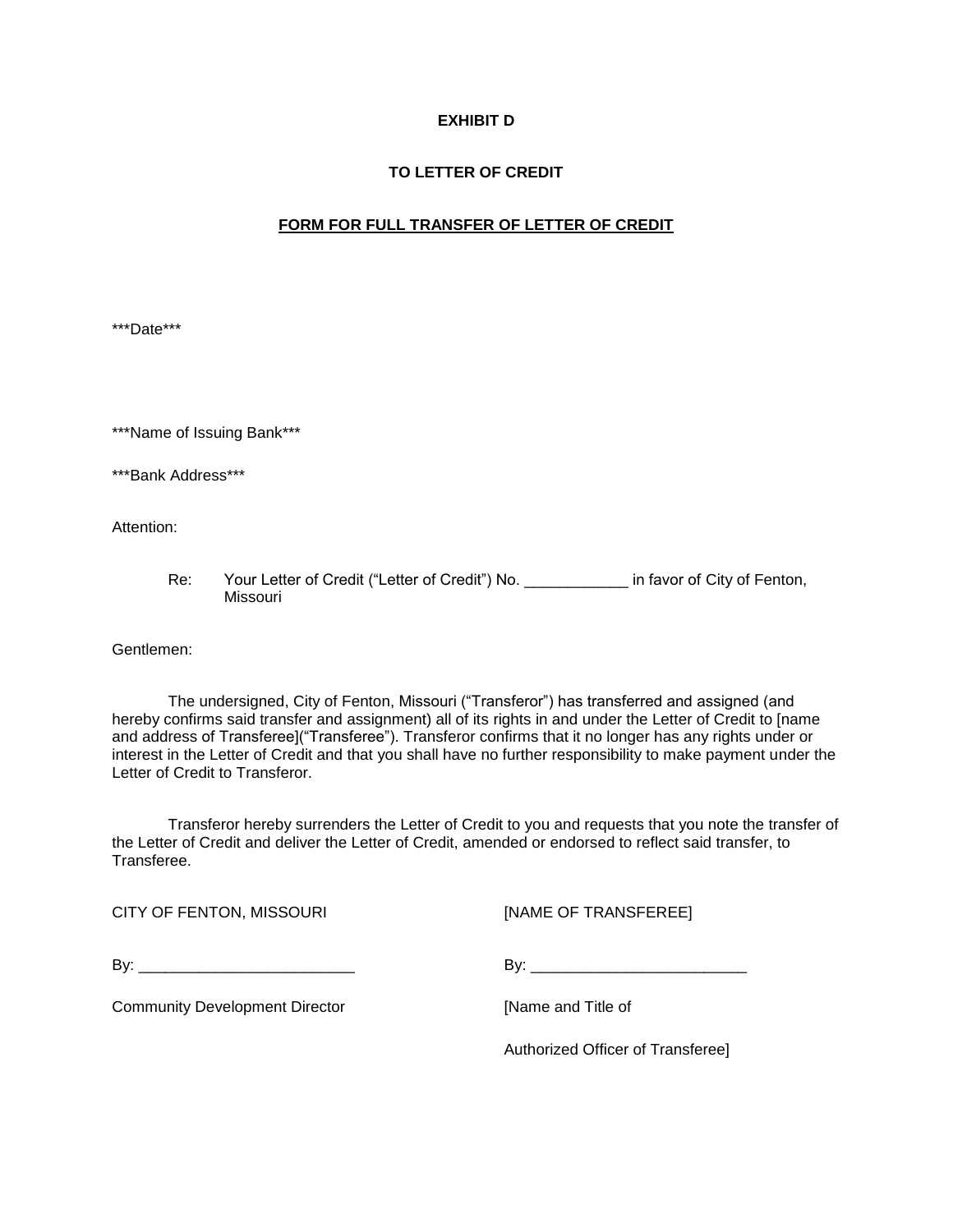## **EXHIBIT D**

### **TO LETTER OF CREDIT**

#### **FORM FOR FULL TRANSFER OF LETTER OF CREDIT**

\*\*\*Date\*\*\*

\*\*\*Name of Issuing Bank\*\*\*

\*\*\*Bank Address\*\*\*

Attention:

Re: Your Letter of Credit ("Letter of Credit") No. \_\_\_\_\_\_\_\_\_\_\_\_\_ in favor of City of Fenton, Missouri

Gentlemen:

 The undersigned, City of Fenton, Missouri ("Transferor") has transferred and assigned (and hereby confirms said transfer and assignment) all of its rights in and under the Letter of Credit to [name and address of Transferee]("Transferee"). Transferor confirms that it no longer has any rights under or interest in the Letter of Credit and that you shall have no further responsibility to make payment under the Letter of Credit to Transferor.

 Transferor hereby surrenders the Letter of Credit to you and requests that you note the transfer of the Letter of Credit and deliver the Letter of Credit, amended or endorsed to reflect said transfer, to **Transferee** 

CITY OF FENTON, MISSOURI [NAME OF TRANSFEREE]

By: \_\_\_\_\_\_\_\_\_\_\_\_\_\_\_\_\_\_\_\_\_\_\_\_\_ By: \_\_\_\_\_\_\_\_\_\_\_\_\_\_\_\_\_\_\_\_\_\_\_\_\_

Community Development Director **Example 20 Figure 2018** [Name and Title of

Authorized Officer of Transferee]